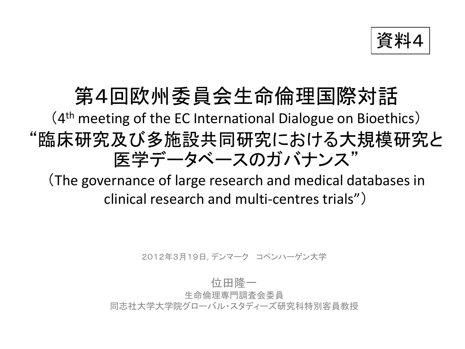資料

### 第4回欧州委員会生命倫理国際対話

### (4 th meeting of the EC International Dialogue on Bioethics) "臨床研究及び多施設共同研究における大規模研究と 医学データベースのガバナンス"

(The governance of large research and medical databases in clinical research and multi-centres trials")

2012年3月19日, デンマーク コペンハーゲン大学

#### 位田隆一

生命倫理専門調査会委員

同志社大学大学院グローバル・スタディーズ研究科特別客員教授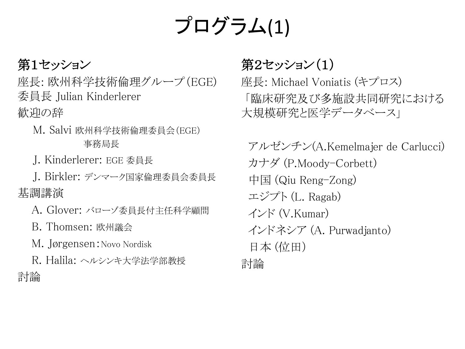## プログラム(1)

#### 第1セッション

座長: 欧州科学技術倫理グループ(EGE) 委員長 Julian Kinderlerer 歓迎の辞

- M. Salvi 欧州科学技術倫理委員会(EGE) 事務局長
- J. Kinderlerer: EGE 委員長

 J. Birkler: デンマーク国家倫理委員会委員長 基調講演

- A. Glover: バローゾ委員長付主任科学顧問
- B. Thomsen: 欧州議会
- M. Jørgensen:Novo Nordisk

 R. Halila: ヘルシンキ大学法学部教授 討論

### 第2セッション(1)

座長: Michael Voniatis (キプロス) 「臨床研究及び多施設共同研究における 大規模研究と医学データベース」

 アルゼンチン(A.Kemelmajer de Carlucci) カナダ (P.Moody-Corbett) 中国 (Qiu Reng-Zong) エジプト (L. Ragab) インド (V.Kumar) インドネシア (A. Purwadjanto) 日本 (位田) 討論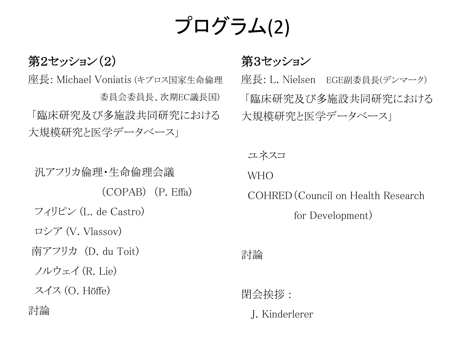## プログラム(2)

#### 第2セッション(2)

座長: Michael Voniatis (キプロス国家生命倫理 委員会委員長、次期EC議長国) 「臨床研究及び多施設共同研究における 大規模研究と医学データベース」

 汎アフリカ倫理・生命倫理会議 (COPAB) (P. Effa) フィリピン (L. de Castro) ロシア (V. Vlassov) 南アフリカ (D. du Toit) ノルウェイ (R. Lie) スイス (O. Höffe) 討論

#### 第3セッション

座長: L. Nielsen EGE副委員長(デンマーク) 「臨床研究及び多施設共同研究における 大規模研究と医学データベース」

ユネスコ WHO

COHRED(Council on Health Research

for Development)

討論

閉会挨拶 :

J. Kinderlerer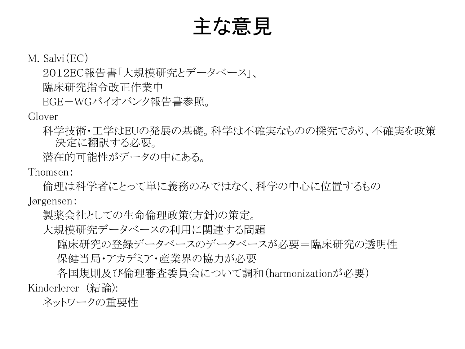主な意見

M. Salvi(EC)

2012EC報告書「大規模研究とデータベース」、 臨床研究指令改正作業中

EGE-WGバイオバンク報告書参照。

Glover

科学技術・工学はEUの発展の基礎。科学は不確実なものの探究であり、不確実を政策 決定に翻訳する必要。

潜在的可能性がデータの中にある。

Thomsen:

倫理は科学者にとって単に義務のみではなく、科学の中心に位置するもの

Jørgensen:

製薬会社としての生命倫理政策(方針)の策定。

大規模研究データベースの利用に関連する問題

 臨床研究の登録データベースのデータベースが必要=臨床研究の透明性 保健当局・アカデミア・産業界の協力が必要

 各国規則及び倫理審査委員会について調和(harmonizationが必要) Kinderlerer (結論):

ネットワークの重要性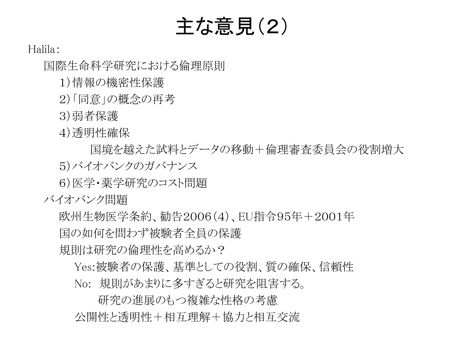## 主な意見(2)

#### Halila:

国際生命科学研究における倫理原則

1)情報の機密性保護

2)「同意」の概念の再考

3)弱者保護

4)透明性確保

 国境を越えた試料とデータの移動+倫理審査委員会の役割増大 5)バイオバンクのガバナンス

6)医学・薬学研究のコスト問題

バイオバンク問題

欧州生物医学条約、勧告2006(4)、EU指令95年+2001年

国の如何を問わず被験者全員の保護

規則は研究の倫理性を高めるか?

 Yes:被験者の保護、基準としての役割、質の確保、信頼性 No: 規則があまりに多すぎると研究を阻害する。

 研究の進展のもつ複雑な性格の考慮 公開性と透明性+相互理解+協力と相互交流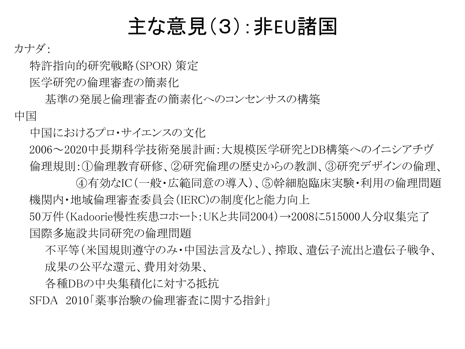### 主な意見(3):非EU諸国

#### カナダ:

特許指向的研究戦略(SPOR) 策定

医学研究の倫理審査の簡素化

 基準の発展と倫理審査の簡素化へのコンセンサスの構築 中国

中国におけるプロ・サイエンスの文化

2006~2020中長期科学技術発展計画:大規模医学研究とDB構築へのイニシアチヴ 倫理規則:①倫理教育研修、②研究倫理の歴史からの教訓、③研究デザインの倫理、

 ④有効なIC(一般・広範同意の導入)、⑤幹細胞臨床実験・利用の倫理問題 機関内・地域倫理審査委員会(IERC)の制度化と能力向上

50万件(Kadoorie慢性疾患コホート:UKと共同2004)→2008に515000人分収集完了 国際多施設共同研究の倫理問題

 不平等(米国規則遵守のみ・中国法言及なし)、搾取、遺伝子流出と遺伝子戦争、 成果の公平な還元、費用対効果、

各種DBの中央集積化に対する抵抗

SFDA 2010「薬事治験の倫理審査に関する指針」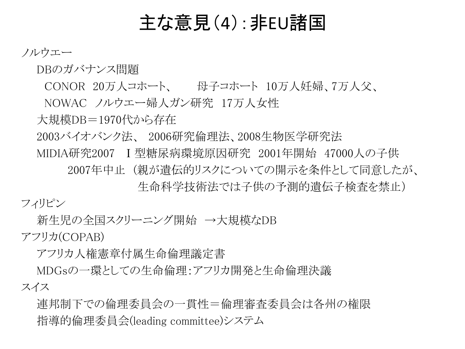### 主な意見(4):非EU諸国

#### ノルウエー

DBのガバナンス問題

CONOR 20万人コホート、 母子コホート 10万人妊婦、7万人父、

NOWAC ノルウエー婦人ガン研究 17万人女性

大規模DB=1970代から存在

2003バイオバンク法、 2006研究倫理法、2008生物医学研究法

 MIDIA研究2007 Ⅰ型糖尿病環境原因研究 2001年開始 47000人の子供 2007年中止 (親が遺伝的リスクについての開示を条件として同意したが、

生命科学技術法では子供の予測的遺伝子検査を禁止)

フィリピン

新生児の全国スクリーニング開始 →大規模なDB

アフリカ(COPAB)

アフリカ人権憲章付属生命倫理議定書

 MDGsの一環としての生命倫理:アフリカ開発と生命倫理決議 スイス

 連邦制下での倫理委員会の一貫性=倫理審査委員会は各州の権限 指導的倫理委員会(leading committee)システム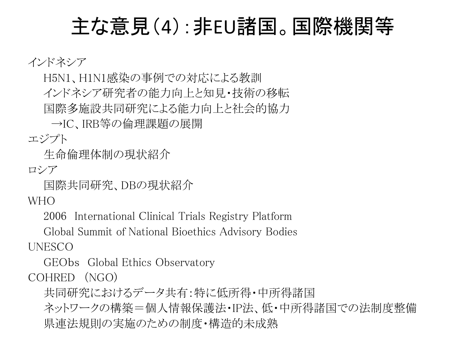### 主な意見(4):非EU諸国。国際機関等

インドネシア

 H5N1、H1N1感染の事例での対応による教訓 インドネシア研究者の能力向上と知見・技術の移転 国際多施設共同研究による能力向上と社会的協力

→IC、IRB等の倫理課題の展開

エジプト

生命倫理体制の現状紹介

ロシア

国際共同研究、DBの現状紹介

W<sub>H</sub>O

2006 International Clinical Trials Registry Platform

Global Summit of National Bioethics Advisory Bodies

UNESCO

GEObs Global Ethics Observatory COHRED (NGO)

共同研究におけるデータ共有:特に低所得・中所得諸国

ネットワークの構築=個人情報保護法・IP法、低・中所得諸国での法制度整備 県連法規則の実施のための制度・構造的未成熟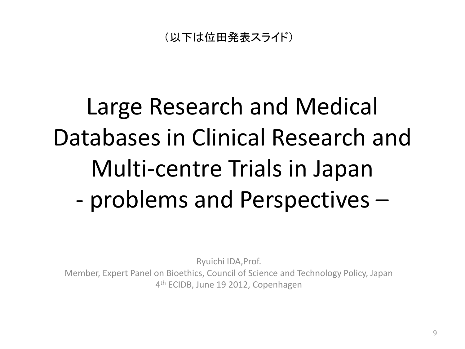(以下は位田発表スライド)

# Large Research and Medical Databases in Clinical Research and Multi-centre Trials in Japan - problems and Perspectives –

Ryuichi IDA,Prof.

Member, Expert Panel on Bioethics, Council of Science and Technology Policy, Japan 4<sup>th</sup> ECIDB, June 19 2012, Copenhagen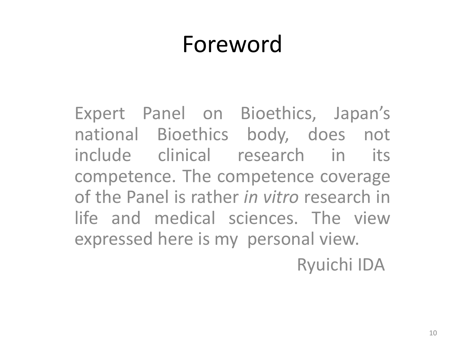## Foreword

Expert Panel on Bioethics, Japan's national Bioethics body, does not include clinical research in its competence. The competence coverage of the Panel is rather *in vitro* research in life and medical sciences. The view expressed here is my personal view. Ryuichi IDA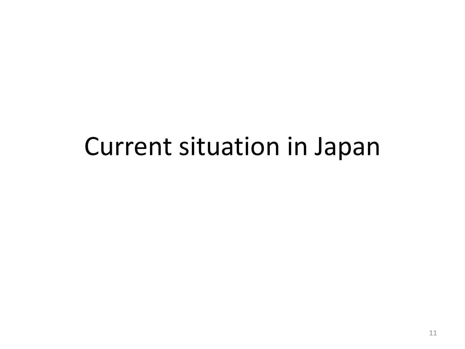## Current situation in Japan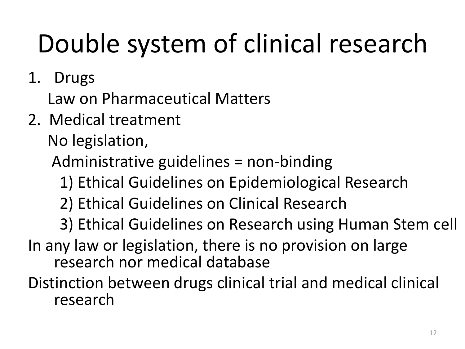# Double system of clinical research

1. Drugs

Law on Pharmaceutical Matters

2. Medical treatment

No legislation,

Administrative guidelines = non-binding

- 1) Ethical Guidelines on Epidemiological Research
- 2) Ethical Guidelines on Clinical Research
- 3) Ethical Guidelines on Research using Human Stem cell
- In any law or legislation, there is no provision on large research nor medical database

Distinction between drugs clinical trial and medical clinical research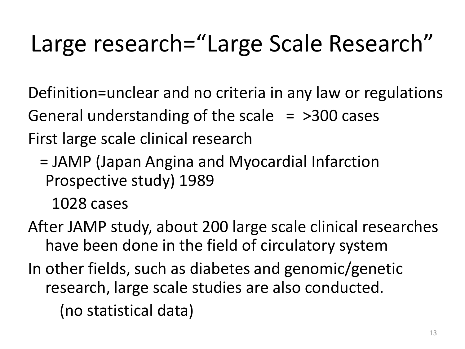# Large research="Large Scale Research"

Definition=unclear and no criteria in any law or regulations General understanding of the scale  $=$  >300 cases First large scale clinical research

 = JAMP (Japan Angina and Myocardial Infarction Prospective study) 1989

1028 cases

After JAMP study, about 200 large scale clinical researches have been done in the field of circulatory system In other fields, such as diabetes and genomic/genetic research, large scale studies are also conducted. (no statistical data)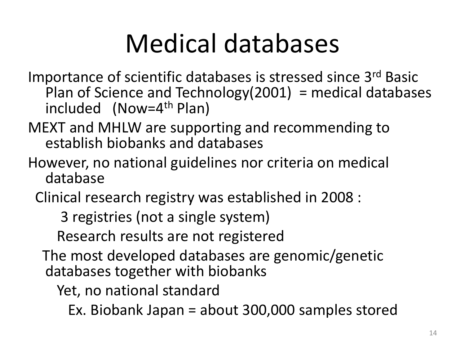# Medical databases

- Importance of scientific databases is stressed since 3rd Basic Plan of Science and Technology(2001) = medical databases included (Now=4th Plan)
- MEXT and MHLW are supporting and recommending to establish biobanks and databases
- However, no national guidelines nor criteria on medical database
	- Clinical research registry was established in 2008 :
		- 3 registries (not a single system)
		- Research results are not registered
		- The most developed databases are genomic/genetic databases together with biobanks
			- Yet, no national standard
				- Ex. Biobank Japan = about 300,000 samples stored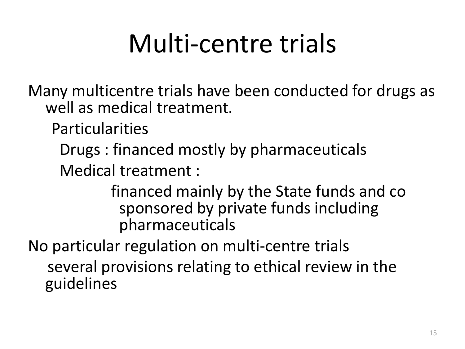# Multi-centre trials

Many multicentre trials have been conducted for drugs as well as medical treatment.

Particularities

Drugs : financed mostly by pharmaceuticals

Medical treatment :

 financed mainly by the State funds and co sponsored by private funds including pharmaceuticals

No particular regulation on multi-centre trials several provisions relating to ethical review in the guidelines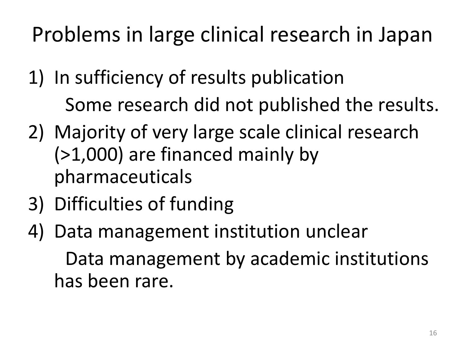Problems in large clinical research in Japan

- 1) In sufficiency of results publication Some research did not published the results.
- 2) Majority of very large scale clinical research (>1,000) are financed mainly by pharmaceuticals
- 3) Difficulties of funding
- 4) Data management institution unclear Data management by academic institutions has been rare.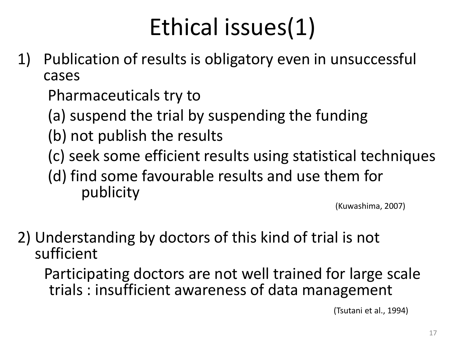# Ethical issues(1)

1) Publication of results is obligatory even in unsuccessful cases

Pharmaceuticals try to

- (a) suspend the trial by suspending the funding
- (b) not publish the results
- (c) seek some efficient results using statistical techniques
- (d) find some favourable results and use them for publicity

(Kuwashima, 2007)

2) Understanding by doctors of this kind of trial is not sufficient

 Participating doctors are not well trained for large scale trials : insufficient awareness of data management

(Tsutani et al., 1994)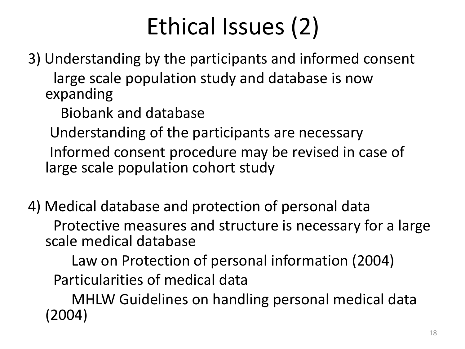# Ethical Issues (2)

3) Understanding by the participants and informed consent large scale population study and database is now expanding

Biobank and database

 Understanding of the participants are necessary Informed consent procedure may be revised in case of large scale population cohort study

4) Medical database and protection of personal data Protective measures and structure is necessary for a large scale medical database

 Law on Protection of personal information (2004) Particularities of medical data

 MHLW Guidelines on handling personal medical data (2004)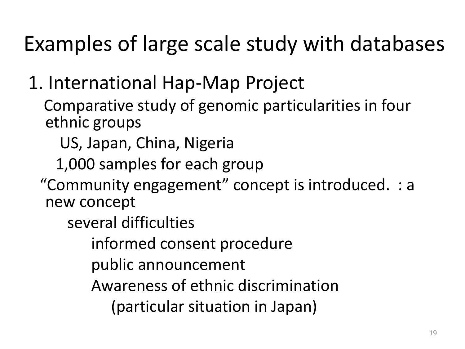## Examples of large scale study with databases

### 1. International Hap-Map Project

 Comparative study of genomic particularities in four ethnic groups

US, Japan, China, Nigeria

1,000 samples for each group

 "Community engagement" concept is introduced. : a new concept

several difficulties

informed consent procedure

public announcement

Awareness of ethnic discrimination

(particular situation in Japan)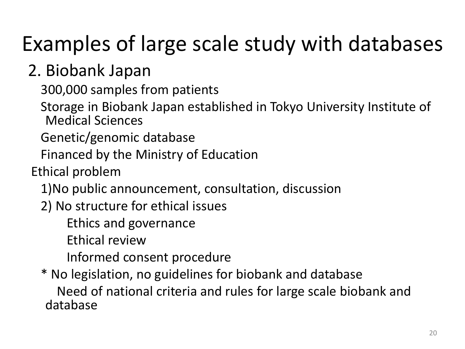## Examples of large scale study with databases

### 2. Biobank Japan

300,000 samples from patients

 Storage in Biobank Japan established in Tokyo University Institute of Medical Sciences

Genetic/genomic database

Financed by the Ministry of Education

Ethical problem

1)No public announcement, consultation, discussion

2) No structure for ethical issues

Ethics and governance

Ethical review

Informed consent procedure

\* No legislation, no guidelines for biobank and database

 Need of national criteria and rules for large scale biobank and database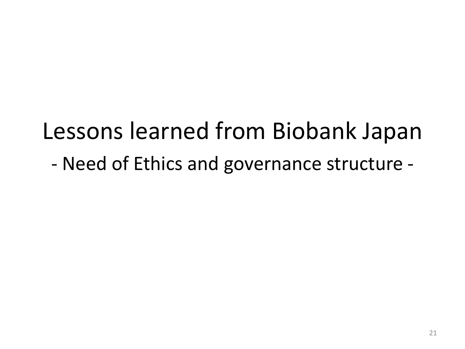## Lessons learned from Biobank Japan

- Need of Ethics and governance structure -